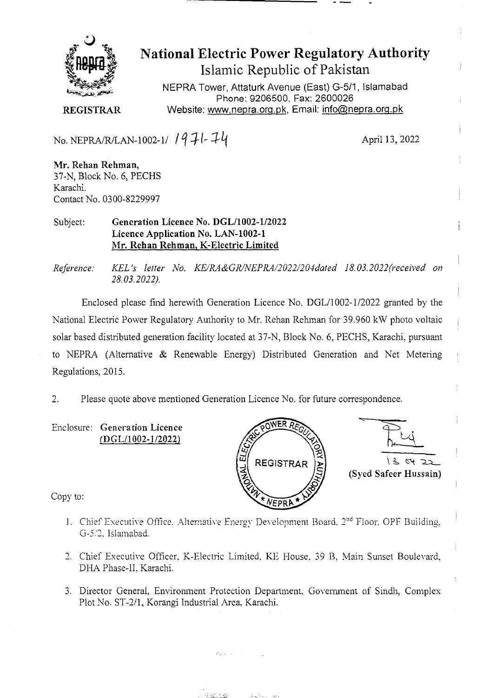

**National Electric Power Regulatory Authority Islamic Republic of Pakistan** 

NEPRA Tower, Attaturk Avenue (East) G-511, **Islamabad Phone: 9206500, Fax:** 2600026 **REGISTRAR** Website: www.nepra.org.pk, Email: info@nepra.org.pk

No. NEPRAJRJLAN-1002-1/ **/ q** i- *.T.1-Lf* April 13, 2022

**Mr. Rehan Rehman,**  37-N, Block No. 6, PECHS Karachi. *Contact No. 0300-8229997* 

## Subject: **Generation Licence No. DGL/1002-1/2022 Licence Application No.** LAN-1002-1 Mr. **Rehan Rehman,** K-Electric Limited

*Reference: KEL 's letter No. KE/1L4&GR/NEPRA/2022/204da1ed 18.03.2022 ('received on 28.03.2022).* 

Enclosed please find herewith Generation Licence No. DGL/1002-l/2022 granted by the National Electric Power Regulatory Authority to Mr. Rehan Rehnian for 39.960 kW photo voltaic solar based distributed generation facility located at 37-N, Block No. 6, PECHS, Karachi, pursuant to NEPRA (Alternative & Renewable Energy) Distributed Generation and Net Metering Regulations, 2015.

2. Please quote above mentioned Generation Licence No. for future correspondence.

Enclosure: Generation Licence (DGL/1002-1/2022)



 $56422$ **(Syed Safeer Hussain)** 

Copy to:

- 1. Chief Executive Office, Alternative Energy Development Board. 2<sup>nd</sup> Floor. OPF Building. G-52. islamabad.
- 2. Chief Executive Officer, K-Electric Limited, KE House. 39 B. Main Sunset Boulevard, DHA Phase-Il, Karachi.
- 3. Director General, Environment Protection Department, Government of Sindh, Complex Plot No. ST-2/1, Korangi Industrial Area. Karachi.